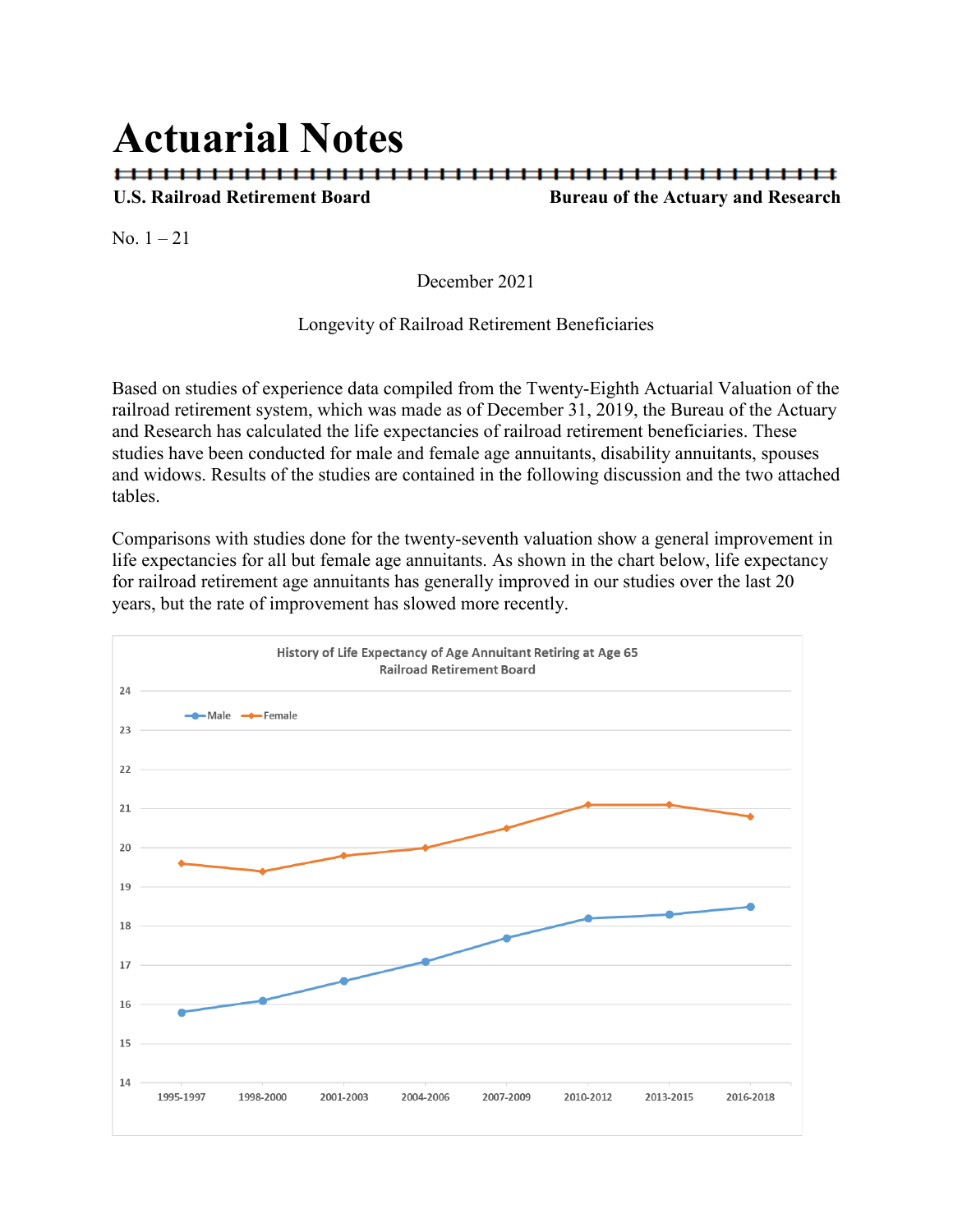# **Actuarial Notes**

## **U.S. Railroad Retirement Board Bureau of the Actuary and Research**

No.  $1 - 21$ 

December 2021

## Longevity of Railroad Retirement Beneficiaries

Based on studies of experience data compiled from the Twenty-Eighth Actuarial Valuation of the railroad retirement system, which was made as of December 31, 2019, the Bureau of the Actuary and Research has calculated the life expectancies of railroad retirement beneficiaries. These studies have been conducted for male and female age annuitants, disability annuitants, spouses and widows. Results of the studies are contained in the following discussion and the two attached tables.

Comparisons with studies done for the twenty-seventh valuation show a general improvement in life expectancies for all but female age annuitants. As shown in the chart below, life expectancy for railroad retirement age annuitants has generally improved in our studies over the last 20 years, but the rate of improvement has slowed more recently.

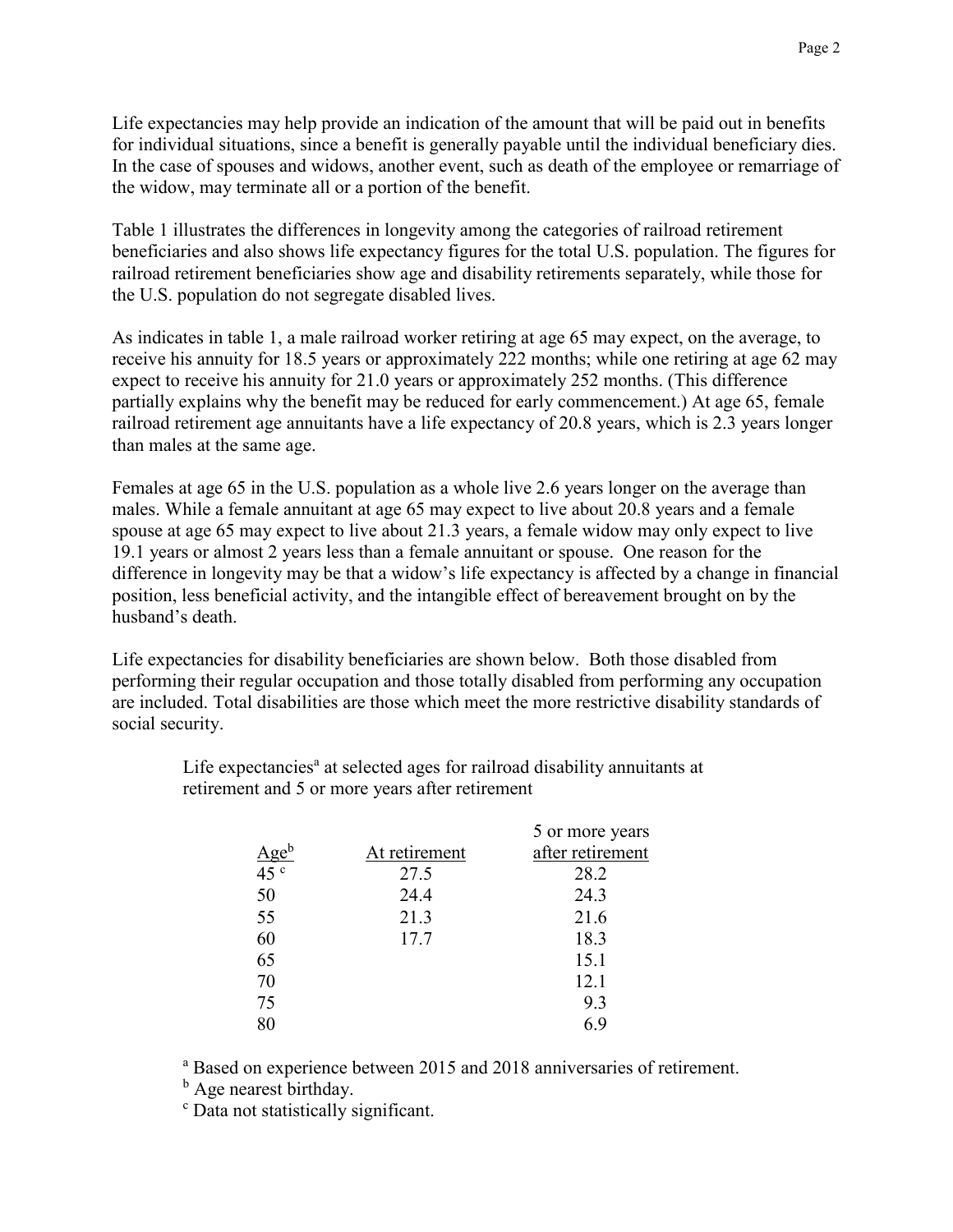Life expectancies may help provide an indication of the amount that will be paid out in benefits for individual situations, since a benefit is generally payable until the individual beneficiary dies. In the case of spouses and widows, another event, such as death of the employee or remarriage of the widow, may terminate all or a portion of the benefit.

Table 1 illustrates the differences in longevity among the categories of railroad retirement beneficiaries and also shows life expectancy figures for the total U.S. population. The figures for railroad retirement beneficiaries show age and disability retirements separately, while those for the U.S. population do not segregate disabled lives.

As indicates in table 1, a male railroad worker retiring at age 65 may expect, on the average, to receive his annuity for 18.5 years or approximately 222 months; while one retiring at age 62 may expect to receive his annuity for 21.0 years or approximately 252 months. (This difference partially explains why the benefit may be reduced for early commencement.) At age 65, female railroad retirement age annuitants have a life expectancy of 20.8 years, which is 2.3 years longer than males at the same age.

Females at age 65 in the U.S. population as a whole live 2.6 years longer on the average than males. While a female annuitant at age 65 may expect to live about 20.8 years and a female spouse at age 65 may expect to live about 21.3 years, a female widow may only expect to live 19.1 years or almost 2 years less than a female annuitant or spouse. One reason for the difference in longevity may be that a widow's life expectancy is affected by a change in financial position, less beneficial activity, and the intangible effect of bereavement brought on by the husband's death.

Life expectancies for disability beneficiaries are shown below. Both those disabled from performing their regular occupation and those totally disabled from performing any occupation are included. Total disabilities are those which meet the more restrictive disability standards of social security.

Life expectancies<sup>a</sup> at selected ages for railroad disability annuitants at retirement and 5 or more years after retirement

|                      |               | 5 or more years  |
|----------------------|---------------|------------------|
|                      | At retirement | after retirement |
| $\frac{Age^b}{45^c}$ | 27.5          | 28.2             |
| 50                   | 24.4          | 24.3             |
| 55                   | 21.3          | 21.6             |
| 60                   | 17.7          | 18.3             |
| 65                   |               | 15.1             |
| 70                   |               | 12.1             |
| 75                   |               | 9.3              |
| 80                   |               | 6.9              |

<sup>a</sup> Based on experience between 2015 and 2018 anniversaries of retirement.

<sup>b</sup> Age nearest birthday.

<sup>c</sup> Data not statistically significant.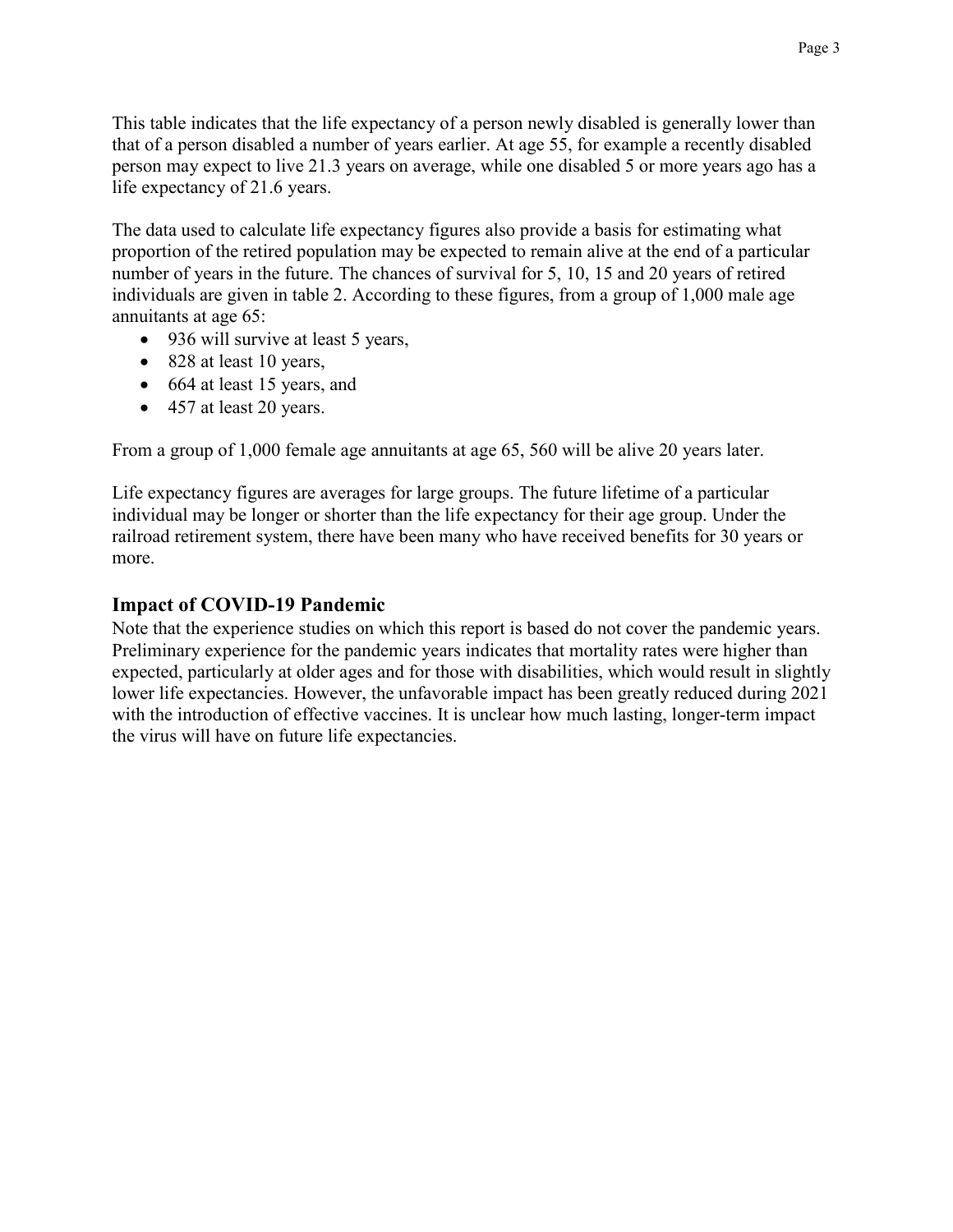This table indicates that the life expectancy of a person newly disabled is generally lower than that of a person disabled a number of years earlier. At age 55, for example a recently disabled person may expect to live 21.3 years on average, while one disabled 5 or more years ago has a life expectancy of 21.6 years.

The data used to calculate life expectancy figures also provide a basis for estimating what proportion of the retired population may be expected to remain alive at the end of a particular number of years in the future. The chances of survival for 5, 10, 15 and 20 years of retired individuals are given in table 2. According to these figures, from a group of 1,000 male age annuitants at age 65:

- 936 will survive at least 5 years,
- 828 at least 10 years,
- 664 at least 15 years, and
- 457 at least 20 years.

From a group of 1,000 female age annuitants at age 65, 560 will be alive 20 years later.

Life expectancy figures are averages for large groups. The future lifetime of a particular individual may be longer or shorter than the life expectancy for their age group. Under the railroad retirement system, there have been many who have received benefits for 30 years or more.

## **Impact of COVID-19 Pandemic**

Note that the experience studies on which this report is based do not cover the pandemic years. Preliminary experience for the pandemic years indicates that mortality rates were higher than expected, particularly at older ages and for those with disabilities, which would result in slightly lower life expectancies. However, the unfavorable impact has been greatly reduced during 2021 with the introduction of effective vaccines. It is unclear how much lasting, longer-term impact the virus will have on future life expectancies.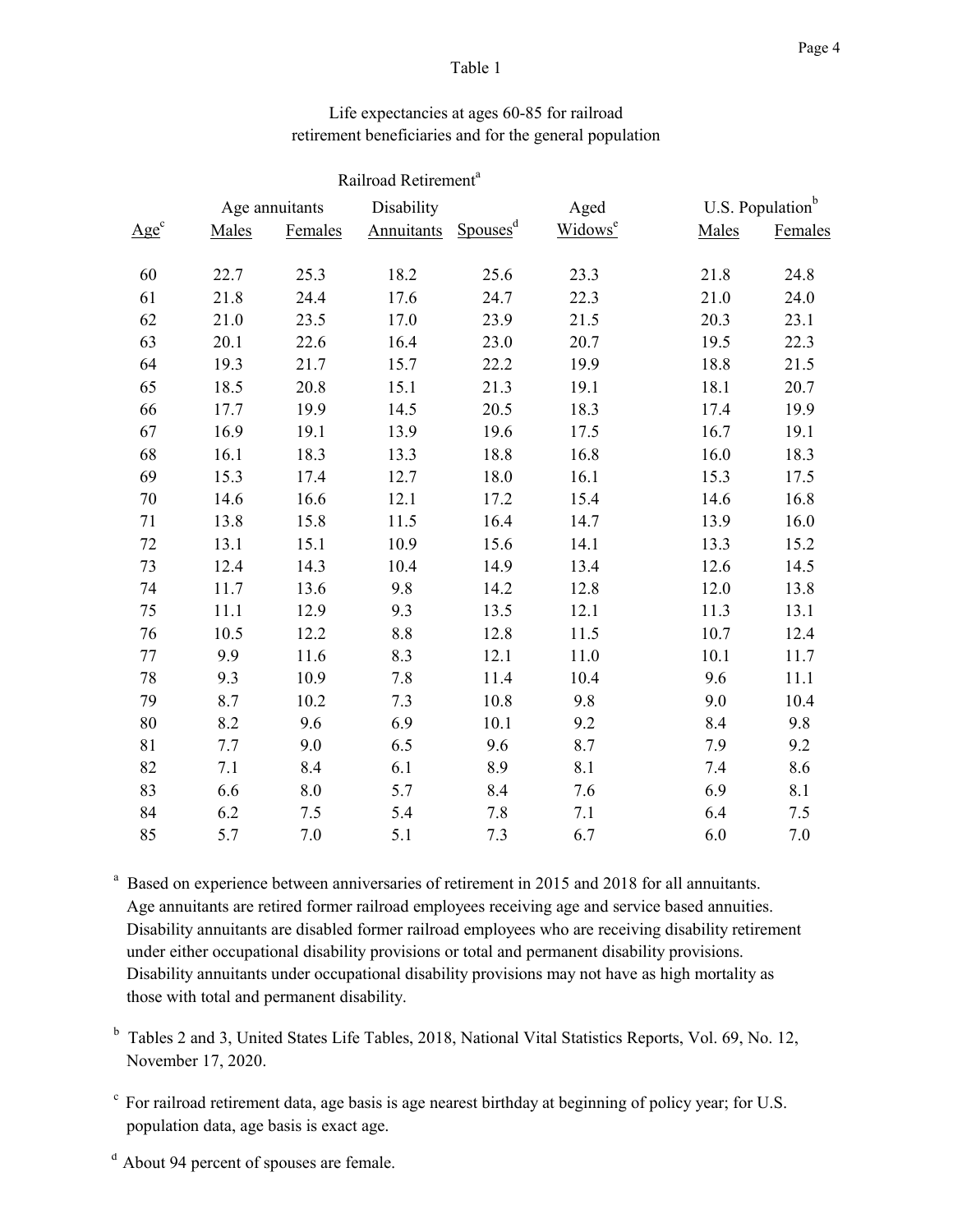#### Table 1

## Life expectancies at ages 60-85 for railroad retirement beneficiaries and for the general population

|                     |       |                    | Railroad Retirement <sup>a</sup> |                      |                     |                              |         |
|---------------------|-------|--------------------|----------------------------------|----------------------|---------------------|------------------------------|---------|
|                     |       | Age annuitants     | Disability                       |                      | Aged                | U.S. Population <sup>b</sup> |         |
| $\underline{Age}^c$ | Males | Females            | <b>Annuitants</b>                | Spouses <sup>d</sup> | Widows <sup>e</sup> | Males                        | Females |
| 60                  | 22.7  | 25.3               | 18.2                             | 25.6                 | 23.3                | 21.8                         | 24.8    |
| 61                  | 21.8  | 24.4               | 17.6                             | 24.7                 | 22.3                | 21.0                         | 24.0    |
| 62                  | 21.0  | 23.5               | 17.0                             | 23.9                 | 21.5                | 20.3                         | 23.1    |
| 63                  | 20.1  | 22.6               | 16.4                             | 23.0                 | 20.7                | 19.5                         | 22.3    |
| 64                  | 19.3  | 21.7               | 15.7                             | 22.2                 | 19.9                | 18.8                         | 21.5    |
| 65                  | 18.5  | 20.8               | 15.1                             | 21.3                 | 19.1                | 18.1                         | 20.7    |
| 66                  | 17.7  | 19.9               | 14.5                             | 20.5                 | 18.3                | 17.4                         | 19.9    |
| 67                  | 16.9  | 19.1               | 13.9                             | 19.6                 | 17.5                | 16.7                         | 19.1    |
| 68                  | 16.1  | 18.3               | 13.3                             | 18.8                 | 16.8                | 16.0                         | 18.3    |
| 69                  | 15.3  | 17.4               | 12.7                             | 18.0                 | 16.1                | 15.3                         | 17.5    |
| 70                  | 14.6  | 16.6               | 12.1                             | 17.2                 | 15.4                | 14.6                         | 16.8    |
| 71                  | 13.8  | 15.8               | 11.5                             | 16.4                 | 14.7                | 13.9                         | 16.0    |
| 72                  | 13.1  | 15.1               | 10.9                             | 15.6                 | 14.1                | 13.3                         | 15.2    |
| 73                  | 12.4  | 14.3               | 10.4                             | 14.9                 | 13.4                | 12.6                         | 14.5    |
| 74                  | 11.7  | 13.6               | 9.8                              | 14.2                 | 12.8                | 12.0                         | 13.8    |
| 75                  | 11.1  | 12.9               | 9.3                              | 13.5                 | 12.1                | 11.3                         | 13.1    |
| 76                  | 10.5  | 12.2               | 8.8                              | 12.8                 | 11.5                | 10.7                         | 12.4    |
| 77                  | 9.9   | 11.6               | 8.3                              | 12.1                 | 11.0                | 10.1                         | 11.7    |
| 78                  | 9.3   | 10.9               | 7.8                              | 11.4                 | 10.4                | 9.6                          | 11.1    |
| 79                  | 8.7   | 10.2               | 7.3                              | 10.8                 | 9.8                 | 9.0                          | 10.4    |
| 80                  | 8.2   | 9.6                | 6.9                              | 10.1                 | 9.2                 | 8.4                          | 9.8     |
| 81                  | 7.7   | 9.0                | 6.5                              | 9.6                  | 8.7                 | 7.9                          | 9.2     |
| 82                  | 7.1   | 8.4                | 6.1                              | 8.9                  | 8.1                 | 7.4                          | 8.6     |
| 83                  | 6.6   | $\boldsymbol{8.0}$ | 5.7                              | 8.4                  | 7.6                 | 6.9                          | 8.1     |
| 84                  | 6.2   | 7.5                | 5.4                              | 7.8                  | 7.1                 | 6.4                          | 7.5     |
| 85                  | 5.7   | 7.0                | 5.1                              | 7.3                  | 6.7                 | 6.0                          | 7.0     |

<sup>a</sup> Based on experience between anniversaries of retirement in 2015 and 2018 for all annuitants. Age annuitants are retired former railroad employees receiving age and service based annuities. Disability annuitants are disabled former railroad employees who are receiving disability retirement under either occupational disability provisions or total and permanent disability provisions. Disability annuitants under occupational disability provisions may not have as high mortality as those with total and permanent disability.

<sup>b</sup> Tables 2 and 3, United States Life Tables, 2018, National Vital Statistics Reports, Vol. 69, No. 12, November 17, 2020.

- c For railroad retirement data, age basis is age nearest birthday at beginning of policy year; for U.S. population data, age basis is exact age.
- <sup>d</sup> About 94 percent of spouses are female.